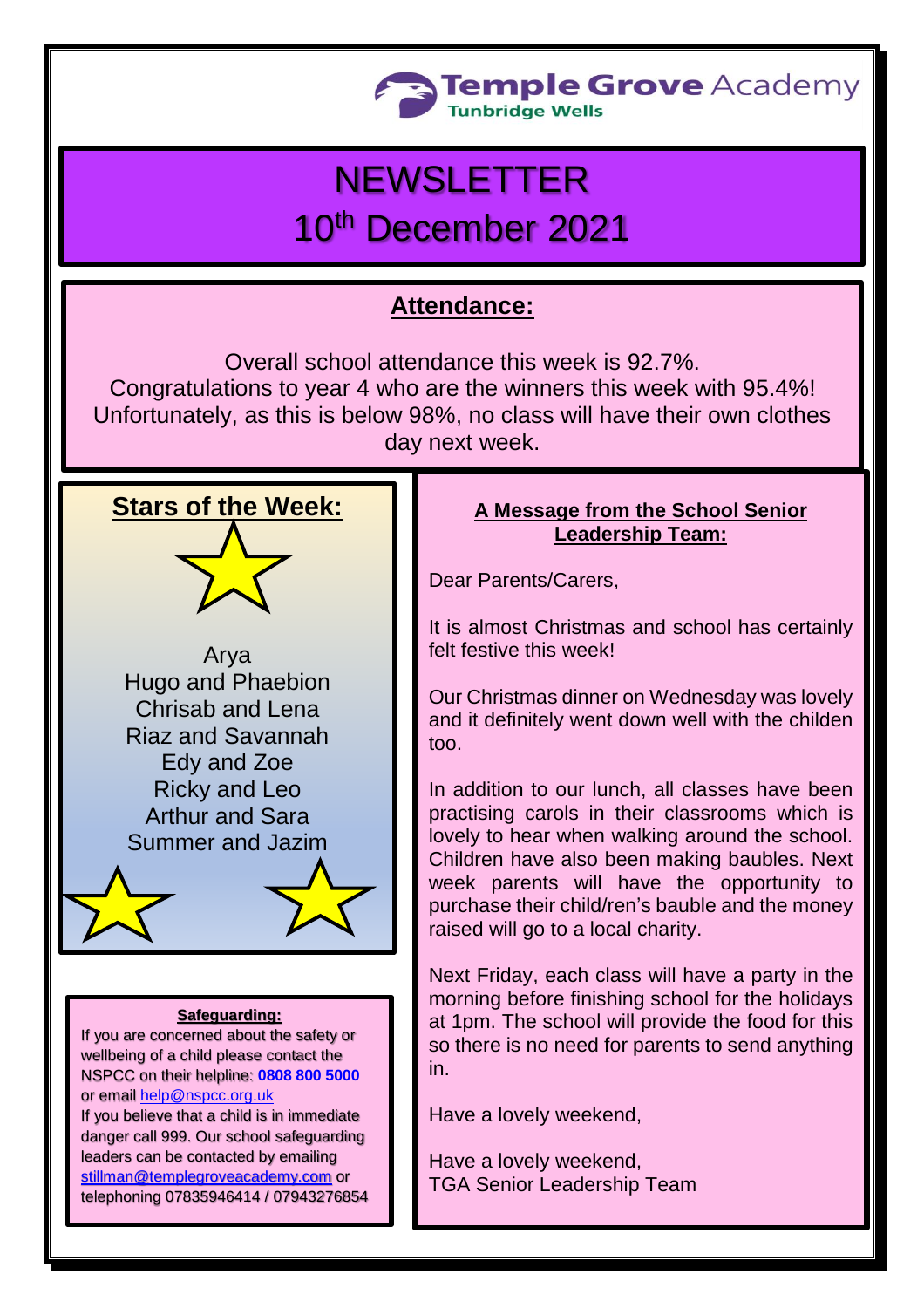

# **NEWSLETTER**

## 10<sup>th</sup> December 2021

## **Attendance:**

Overall school attendance this week is 92.7%. Congratulations to year 4 who are the winners this week with 95.4%! Unfortunately, as this is below 98%, no class will have their own clothes day next week.



#### **Safeguarding:**

If you are concerned about the safety or wellbeing of a child please contact the NSPCC on their helpline: **[0808 800 5000](tel:08088005000)** or email [help@nspcc.org.uk](mailto:help@nspcc.org.uk)

If you believe that a child is in immediate danger call 999. Our school safeguarding leaders can be contacted by emailing [stillman@templegroveacademy.com](mailto:stillman@templegroveacademy.com) or telephoning 07835946414 / 07943276854

#### **A Message from the School Senior Leadership Team:**

Dear Parents/Carers,

It is almost Christmas and school has certainly felt festive this week!

Our Christmas dinner on Wednesday was lovely and it definitely went down well with the childen too.

In addition to our lunch, all classes have been practising carols in their classrooms which is lovely to hear when walking around the school. Children have also been making baubles. Next week parents will have the opportunity to purchase their child/ren's bauble and the money raised will go to a local charity.

Next Friday, each class will have a party in the morning before finishing school for the holidays at 1pm. The school will provide the food for this so there is no need for parents to send anything in.

Have a lovely weekend,

Have a lovely weekend, TGA Senior Leadership Team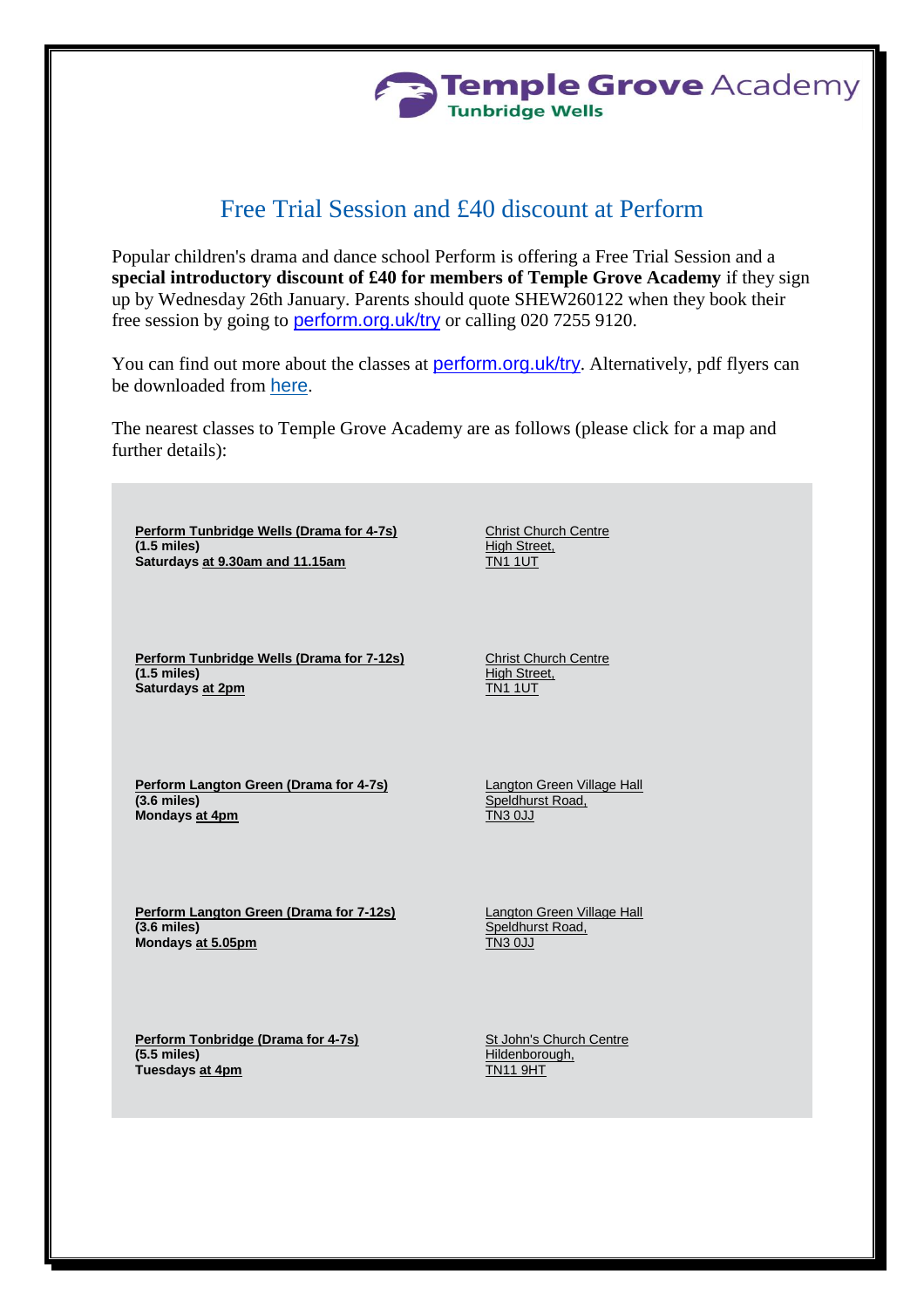

### Free Trial Session and £40 discount at Perform

Popular children's drama and dance school Perform is offering a Free Trial Session and a **special introductory discount of £40 for members of Temple Grove Academy** if they sign up by Wednesday 26th January. Parents should quote SHEW260122 when they book their free session by going to [perform.org.uk/try](https://www.perform.org.uk/portal/new_contact) or calling 020 7255 9120.

You can find out more about the classes at **[perform.org.uk/try](https://www.perform.org.uk/freedramaclass?trk=JnBzY19pZD0xMDAyMDc0JmRvY19pZD0zNDEmbWVfaWQ9MCZ0ZXh0PUJvb2tiYWcgdmVyaWZpY2F0aW9uJmRhdGU9RGVjICA3IDIwMjEgMTI6MzFQTQ~~)**. Alternatively, pdf flyers can be downloaded from [here](http://www.perform.org.uk/userfiles/pdfs/Generic-A5-Flyer-March2016.pdf).

The nearest classes to Temple Grove Academy are as follows (please click for a map and further details):

**[Perform Tunbridge Wells \(Drama for 4-7s\)](https://www.perform.org.uk/venue/view?v=86&type=perform&trk=JnBzY19pZD0xMDAyMDc0JmRvY19pZD0zNDEmbWVfaWQ9MCZ0ZXh0PUJvb2tiYWcgdmVyaWZpY2F0aW9uJmRhdGU9RGVjICA3IDIwMjEgMTI6MzFQTQ~~) (1.5 miles) Saturdays at 9.30am and 11.15am**

**[Perform Tunbridge Wells \(Drama for 7-12s\)](https://www.perform.org.uk/venue/view?v=86&type=pplus&trk=JnBzY19pZD0xMDAyMDc0JmRvY19pZD0zNDEmbWVfaWQ9MCZ0ZXh0PUJvb2tiYWcgdmVyaWZpY2F0aW9uJmRhdGU9RGVjICA3IDIwMjEgMTI6MzFQTQ~~) (1.5 miles) Saturdays at 2pm**

Christ Church Centre High Street, TN1 1UT

Christ Church Centre **High Street, TN1 1UT** 

**[Perform Langton Green \(Drama for 4-7s\)](https://www.perform.org.uk/venue/view?v=1578&type=perform&trk=JnBzY19pZD0xMDAyMDc0JmRvY19pZD0zNDEmbWVfaWQ9MCZ0ZXh0PUJvb2tiYWcgdmVyaWZpY2F0aW9uJmRhdGU9RGVjICA3IDIwMjEgMTI6MzFQTQ~~) (3.6 miles) Mondays at 4pm**

Langton Green Village Hall Speldhurst Road, TN3 0JJ

**[Perform Langton Green \(Drama for 7-12s\)](https://www.perform.org.uk/venue/view?v=1578&type=pplus&trk=JnBzY19pZD0xMDAyMDc0JmRvY19pZD0zNDEmbWVfaWQ9MCZ0ZXh0PUJvb2tiYWcgdmVyaWZpY2F0aW9uJmRhdGU9RGVjICA3IDIwMjEgMTI6MzFQTQ~~) (3.6 miles) Mondays at 5.05pm**

Langton Green Village Hall Speldhurst Road, TN3 0JJ

**[Perform Tonbridge \(Drama for 4-7s\)](https://www.perform.org.uk/venue/view?v=1624&type=perform&trk=JnBzY19pZD0xMDAyMDc0JmRvY19pZD0zNDEmbWVfaWQ9MCZ0ZXh0PUJvb2tiYWcgdmVyaWZpY2F0aW9uJmRhdGU9RGVjICA3IDIwMjEgMTI6MzFQTQ~~) (5.5 miles) Tuesdays at 4pm**

St John's Church Centre Hildenborough, TN11 9HT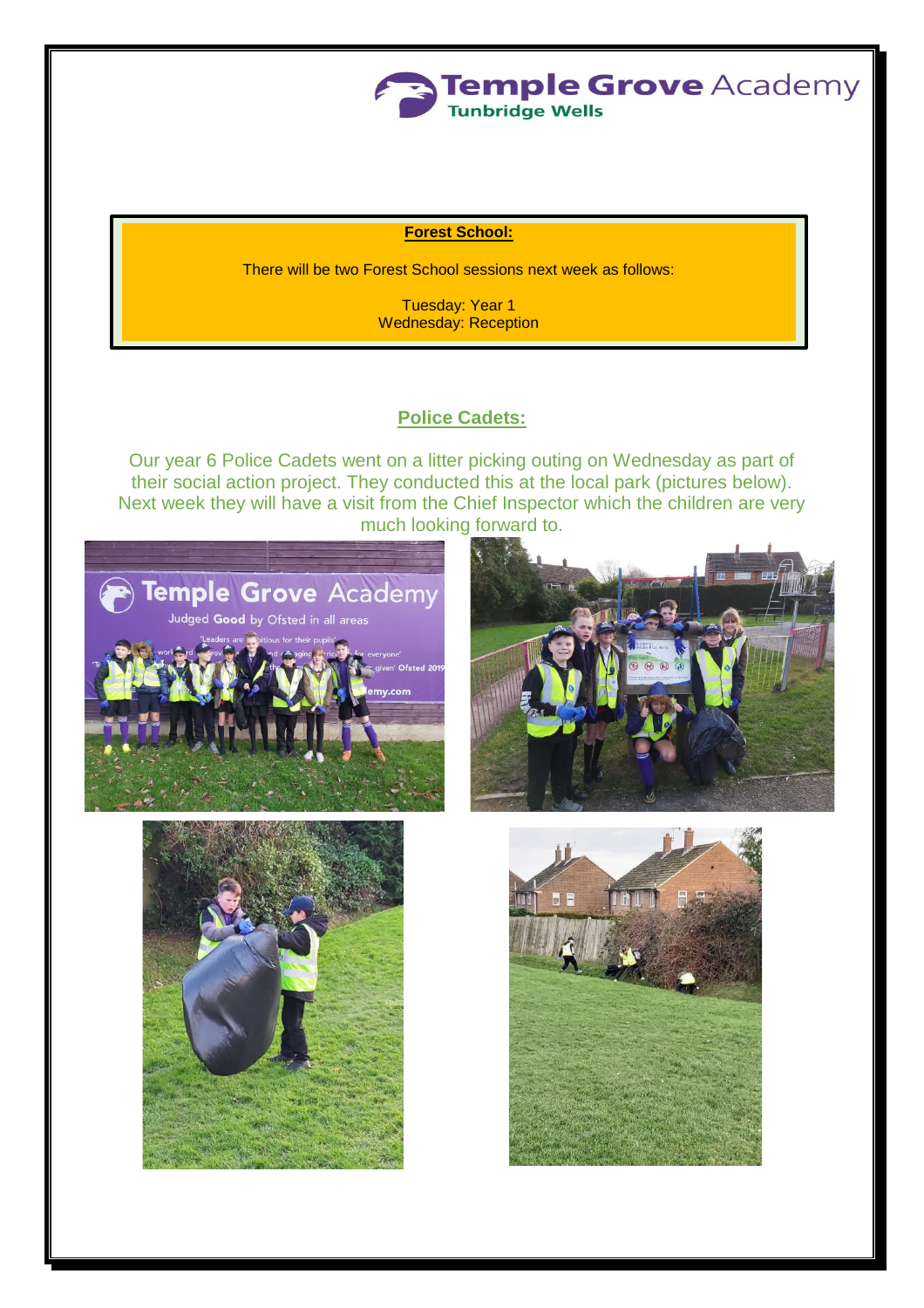

#### **Forest School:**

There will be two Forest School sessions next week as follows:

Tuesday: Year 1 Wednesday: Reception

#### **Police Cadets:**

Our year 6 Police Cadets went on a litter picking outing on Wednesday as part of their social action project. They conducted this at the local park (pictures below). Next week they will have a visit from the Chief Inspector which the children are very much looking forward to.